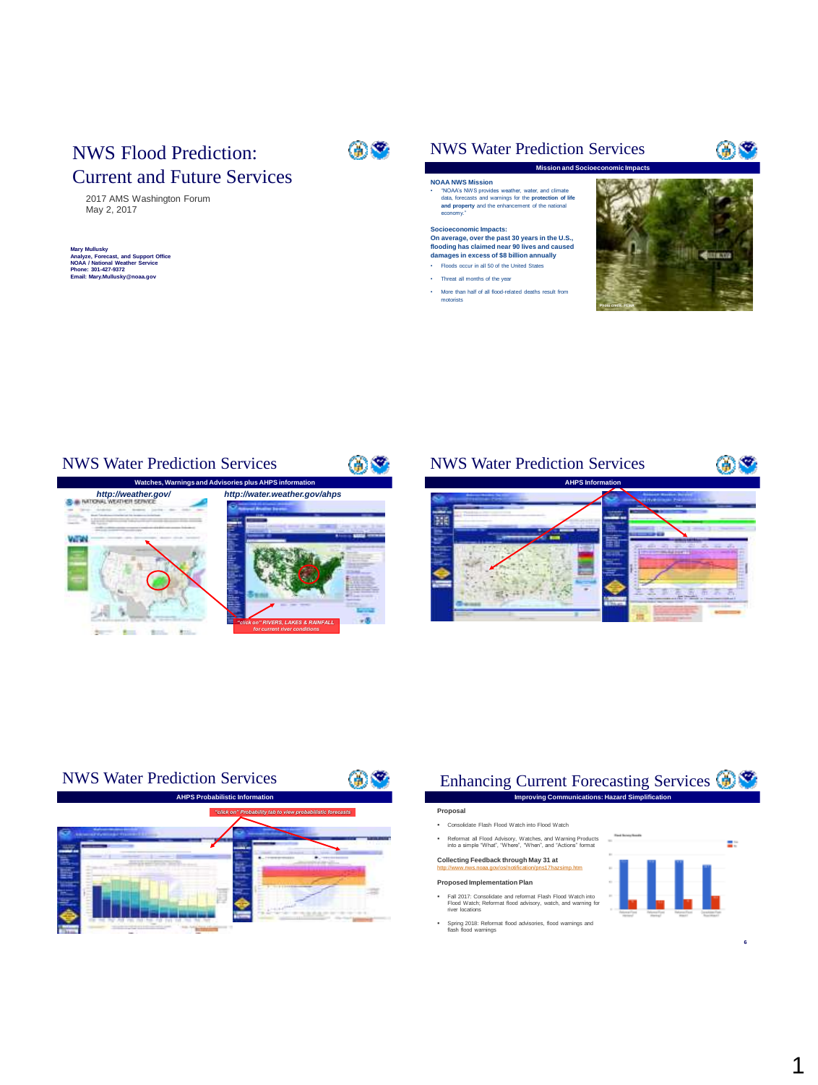## NWS Flood Prediction: Current and Future Services

2017 AMS Washington Forum May 2, 2017

## **Mary Mullusky Analyze, Forecast, and Support Office NOAA / National Weather Service Phone: 301-427-9372 Email: Mary.Mullusky@noaa.gov**



## NWS Water Prediction Services

#### **NOAA NWS Mission**

• "NOAA's NWS provides weather, water, and climate data, forecasts and warnings for the **protection of life and property** and the enhancement of the national economy."

## **Socioeconomic Impacts: On average, over the past 30 years in the U.S., flooding has claimed near 90 lives and caused**

#### **damages in excess of \$8 billion annually** • Floods occur in all 50 of the United States

- Threat all months of the year
- More than half of all flood-related deaths result from motorists



69

 $@$   $@$ 

### NWS Water Prediction Services



## NWS Water Prediction Services





#### Enhancing Current Forecasting Services **Improving Communications: Hazard Simplification**

#### **Proposal**

- Consolidate Flash Flood Watch into Flood Watch
- Reformat all Flood Advisory, Watches, and Warning Products into a simple "What", "Where", "When", and "Actions" format

### **Collecting Feedback through May 31 at**

#### <http://www.nws.noaa.gov/os/notification/pns17hazsimp.htm>

- **Proposed Implementation Plan** Fall 2017: Consolidate and reformat Flash Flood Watch into Flood Watch; Reformat flood advisory, watch, and warning for river locations
- Spring 2018: Reformat flood advisories, flood warnings and flash flood warnings





**6**